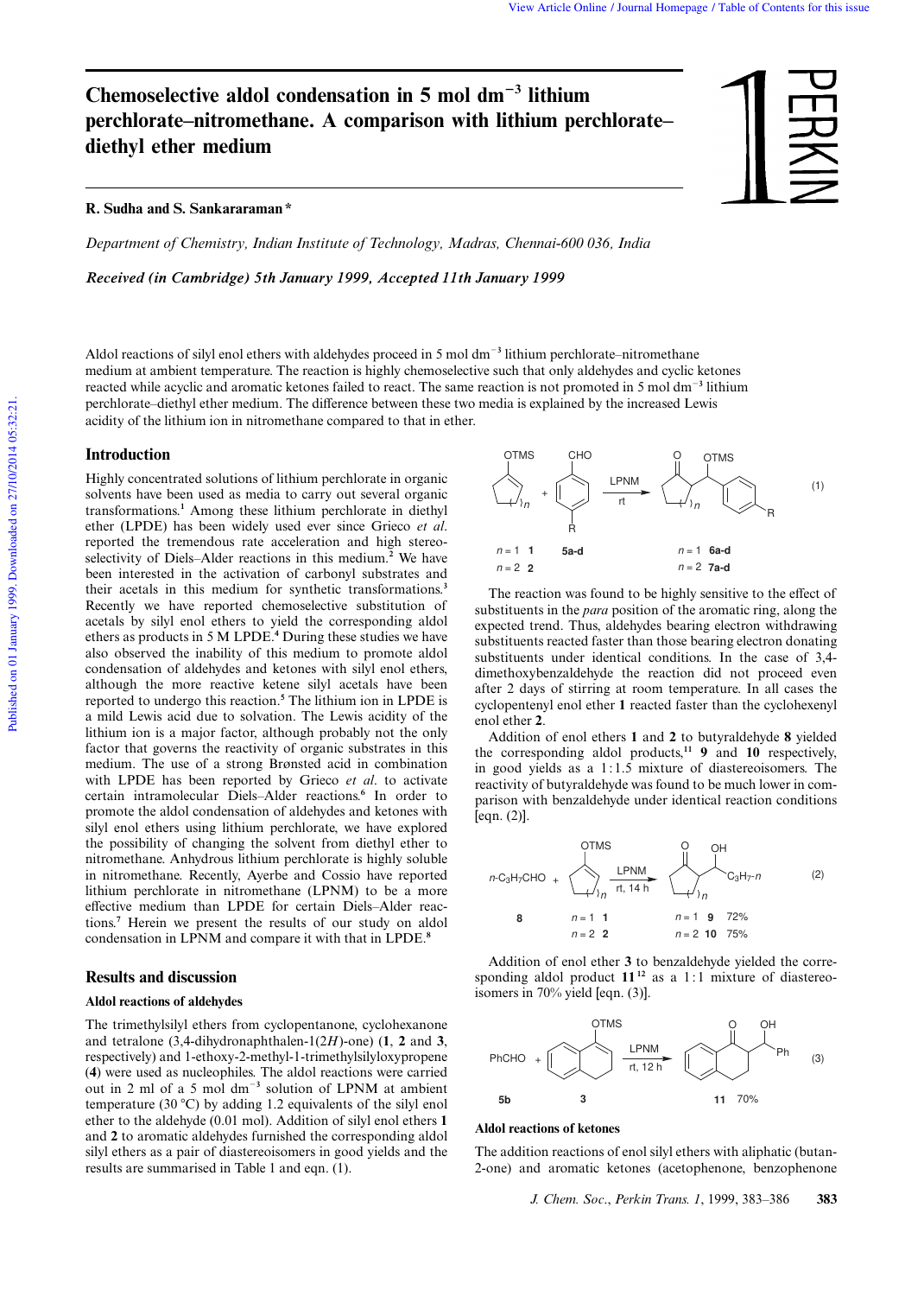# Chemoselective aldol condensation in 5 mol dm<sup>-3</sup> lithium **perchlorate–nitromethane. A comparison with lithium perchlorate– diethyl ether medium**

# **R. Sudha and S. Sankararaman \***

*Department of Chemistry, Indian Institute of Technology, Madras, Chennai-600 036, India*

*Received (in Cambridge) 5th January 1999, Accepted 11th January 1999*



Published on 01 January 1999. Downloaded on 27/10/2014 05:32:21. Published on 01 January 1999. Downloaded on 27/10/2014 05:32:21

Aldol reactions of silyl enol ethers with aldehydes proceed in 5 mol dm<sup>-3</sup> lithium perchlorate–nitromethane medium at ambient temperature. The reaction is highly chemoselective such that only aldehydes and cyclic ketones reacted while acyclic and aromatic ketones failed to react. The same reaction is not promoted in 5 mol dm<sup>-3</sup> lithium perchlorate–diethyl ether medium. The di erence between these two media is explained by the increased Lewis acidity of the lithium ion in nitromethane compared to that in ether.

# **Introduction**

Highly concentrated solutions of lithium perchlorate in organic solvents have been used as media to carry out several organic transformations.**<sup>1</sup>** Among these lithium perchlorate in diethyl ether (LPDE) has been widely used ever since Grieco *et al*. reported the tremendous rate acceleration and high stereoselectivity of Diels–Alder reactions in this medium.**<sup>2</sup>** We have been interested in the activation of carbonyl substrates and their acetals in this medium for synthetic transformations.**<sup>3</sup>** Recently we have reported chemoselective substitution of acetals by silyl enol ethers to yield the corresponding aldol ethers as products in 5 M LPDE.**<sup>4</sup>** During these studies we have also observed the inability of this medium to promote aldol condensation of aldehydes and ketones with silyl enol ethers, although the more reactive ketene silyl acetals have been reported to undergo this reaction.**<sup>5</sup>** The lithium ion in LPDE is a mild Lewis acid due to solvation. The Lewis acidity of the lithium ion is a major factor, although probably not the only factor that governs the reactivity of organic substrates in this medium. The use of a strong Brønsted acid in combination with LPDE has been reported by Grieco *et al*. to activate certain intramolecular Diels–Alder reactions.**<sup>6</sup>** In order to promote the aldol condensation of aldehydes and ketones with silyl enol ethers using lithium perchlorate, we have explored the possibility of changing the solvent from diethyl ether to nitromethane. Anhydrous lithium perchlorate is highly soluble in nitromethane. Recently, Ayerbe and Cossio have reported lithium perchlorate in nitromethane (LPNM) to be a more e ective medium than LPDE for certain Diels–Alder reactions.**<sup>7</sup>** Herein we present the results of our study on aldol condensation in LPNM and compare it with that in LPDE.**<sup>8</sup>**

# **Results and discussion**

# **Aldol reactions of aldehydes**

The trimethylsilyl ethers from cyclopentanone, cyclohexanone and tetralone (3,4-dihydronaphthalen-1(2*H*)-one) (**1**, **2** and **3**, respectively) and 1-ethoxy-2-methyl-1-trimethylsilyloxypropene (**4**) were used as nucleophiles. The aldol reactions were carried out in 2 ml of a 5 mol dm<sup>-3</sup> solution of LPNM at ambient temperature (30 °C) by adding 1.2 equivalents of the silyl enol ether to the aldehyde (0.01 mol). Addition of silyl enol ethers **1** and **2** to aromatic aldehydes furnished the corresponding aldol silyl ethers as a pair of diastereoisomers in good yields and the results are summarised in Table 1 and eqn. (1).



The reaction was found to be highly sensitive to the e ect of substituents in the *para* position of the aromatic ring, along the expected trend. Thus, aldehydes bearing electron withdrawing substituents reacted faster than those bearing electron donating substituents under identical conditions. In the case of 3,4 dimethoxybenzaldehyde the reaction did not proceed even after 2 days of stirring at room temperature. In all cases the cyclopentenyl enol ether **1** reacted faster than the cyclohexenyl enol ether **2**.

Addition of enol ethers **1** and **2** to butyraldehyde **8** yielded the corresponding aldol products,**<sup>11</sup> 9** and **10** respectively, in good yields as a 1:1.5 mixture of diastereoisomers. The reactivity of butyraldehyde was found to be much lower in comparison with benzaldehyde under identical reaction conditions [eqn. (2)].



Addition of enol ether **3** to benzaldehyde yielded the corresponding aldol product  $11^{12}$  as a 1:1 mixture of diastereoisomers in 70% yield [eqn. (3)].



#### **Aldol reactions of ketones**

The addition reactions of enol silyl ethers with aliphatic (butan-2-one) and aromatic ketones (acetophenone, benzophenone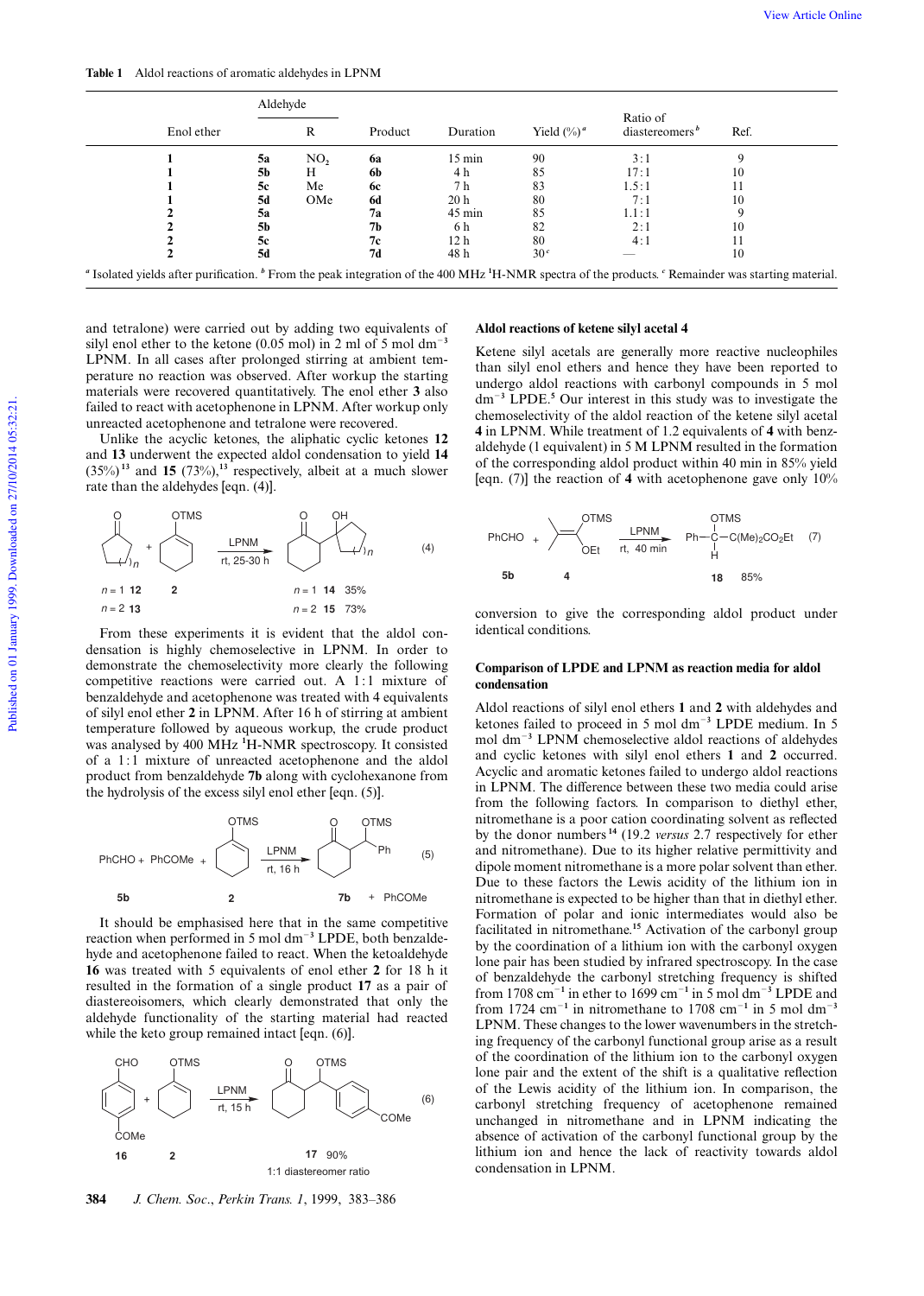**Table 1** Aldol reactions of aromatic aldehydes in LPNM

| Enol ether | Aldehyde |     |           |                  |                 |                                        |      |
|------------|----------|-----|-----------|------------------|-----------------|----------------------------------------|------|
|            |          | R   | Product   | Duration         | Yield $(\%)^a$  | Ratio of<br>diastereomers <sup>b</sup> | Ref. |
|            | 5а       | NO, | <b>6a</b> | $15 \text{ min}$ | 90              | 3:1                                    |      |
|            | 5b       | Н   | 6b        | 4 h              | 85              | 17:1                                   | 10   |
|            | 5c       | Me  | <b>6c</b> | 7 h              | 83              | 1.5:1                                  |      |
|            | 5d       | OMe | 6d        | 20 <sub>h</sub>  | 80              | 7:1                                    | 10   |
|            | 5a       |     | 7a        | $45 \text{ min}$ | 85              | 1.1:1                                  |      |
|            | 5b       |     | 7b        | 6 h              | 82              | 2:1                                    | 10   |
|            | 5c       |     | 7c        | 12 <sub>h</sub>  | 80              | 4:1                                    |      |
|            | 5d       |     | 7d        | 48 h             | 30 <sup>c</sup> |                                        | 10   |

and tetralone) were carried out by adding two equivalents of silyl enol ether to the ketone  $(0.05 \text{ mol})$  in 2 ml of 5 mol dm<sup>-3</sup> LPNM. In all cases after prolonged stirring at ambient temperature no reaction was observed. After workup the starting materials were recovered quantitatively. The enol ether **3** also failed to react with acetophenone in LPNM. After workup only unreacted acetophenone and tetralone were recovered.

Unlike the acyclic ketones, the aliphatic cyclic ketones **12** and **13** underwent the expected aldol condensation to yield **14**  $(35\%)$ <sup>13</sup> and **15**  $(73\%)$ ,<sup>13</sup> respectively, albeit at a much slower rate than the aldehydes [eqn. (4)].



From these experiments it is evident that the aldol condensation is highly chemoselective in LPNM. In order to demonstrate the chemoselectivity more clearly the following competitive reactions were carried out. A 1:1 mixture of benzaldehyde and acetophenone was treated with 4 equivalents of silyl enol ether **2** in LPNM. After 16 h of stirring at ambient temperature followed by aqueous workup, the crude product was analysed by 400 MHz **<sup>1</sup>**H-NMR spectroscopy. It consisted of a 1:1 mixture of unreacted acetophenone and the aldol product from benzaldehyde **7b** along with cyclohexanone from the hydrolysis of the excess silyl enol ether [eqn. (5)].



It should be emphasised here that in the same competitive reaction when performed in 5 mol dm<sup>-3</sup> LPDE, both benzaldehyde and acetophenone failed to react. When the ketoaldehyde **16** was treated with 5 equivalents of enol ether **2** for 18 h it resulted in the formation of a single product **17** as a pair of diastereoisomers, which clearly demonstrated that only the aldehyde functionality of the starting material had reacted while the keto group remained intact [eqn. (6)].



**384** *J. Chem. Soc*., *Perkin Trans. 1*, 1999, 383–386

#### **Aldol reactions of ketene silyl acetal 4**

Ketene silyl acetals are generally more reactive nucleophiles than silyl enol ethers and hence they have been reported to undergo aldol reactions with carbonyl compounds in 5 mol dm<sup>2</sup>**<sup>3</sup>** LPDE.**<sup>5</sup>** Our interest in this study was to investigate the chemoselectivity of the aldol reaction of the ketene silyl acetal **4** in LPNM. While treatment of 1.2 equivalents of **4** with benzaldehyde (1 equivalent) in 5 M LPNM resulted in the formation of the corresponding aldol product within 40 min in 85% yield [eqn. (7)] the reaction of **4** with acetophenone gave only 10%



conversion to give the corresponding aldol product under identical conditions.

#### **Comparison of LPDE and LPNM as reaction media for aldol condensation**

Aldol reactions of silyl enol ethers **1** and **2** with aldehydes and ketones failed to proceed in 5 mol dm<sup>-3</sup> LPDE medium. In 5 mol dm<sup>2</sup>**<sup>3</sup>** LPNM chemoselective aldol reactions of aldehydes and cyclic ketones with silyl enol ethers **1** and **2** occurred. Acyclic and aromatic ketones failed to undergo aldol reactions in LPNM. The di erence between these two media could arise from the following factors. In comparison to diethyl ether, nitromethane is a poor cation coordinating solvent as re ected by the donor numbers **<sup>14</sup>** (19.2 *versus* 2.7 respectively for ether and nitromethane). Due to its higher relative permittivity and dipole moment nitromethane is a more polar solvent than ether. Due to these factors the Lewis acidity of the lithium ion in nitromethane is expected to be higher than that in diethyl ether. Formation of polar and ionic intermediates would also be facilitated in nitromethane.**<sup>15</sup>** Activation of the carbonyl group by the coordination of a lithium ion with the carbonyl oxygen lone pair has been studied by infrared spectroscopy. In the case of benzaldehyde the carbonyl stretching frequency is shifted from 1708 cm<sup>-1</sup> in ether to 1699 cm<sup>-1</sup> in 5 mol dm<sup>-3</sup> LPDE and from 1724 cm<sup>-1</sup> in nitromethane to 1708 cm<sup>-1</sup> in 5 mol dm<sup>-3</sup> LPNM. These changes to the lower wavenumbers in the stretching frequency of the carbonyl functional group arise as a result of the coordination of the lithium ion to the carbonyl oxygen lone pair and the extent of the shift is a qualitative re ection of the Lewis acidity of the lithium ion. In comparison, the carbonyl stretching frequency of acetophenone remained unchanged in nitromethane and in LPNM indicating the absence of activation of the carbonyl functional group by the lithium ion and hence the lack of reactivity towards aldol condensation in LPNM.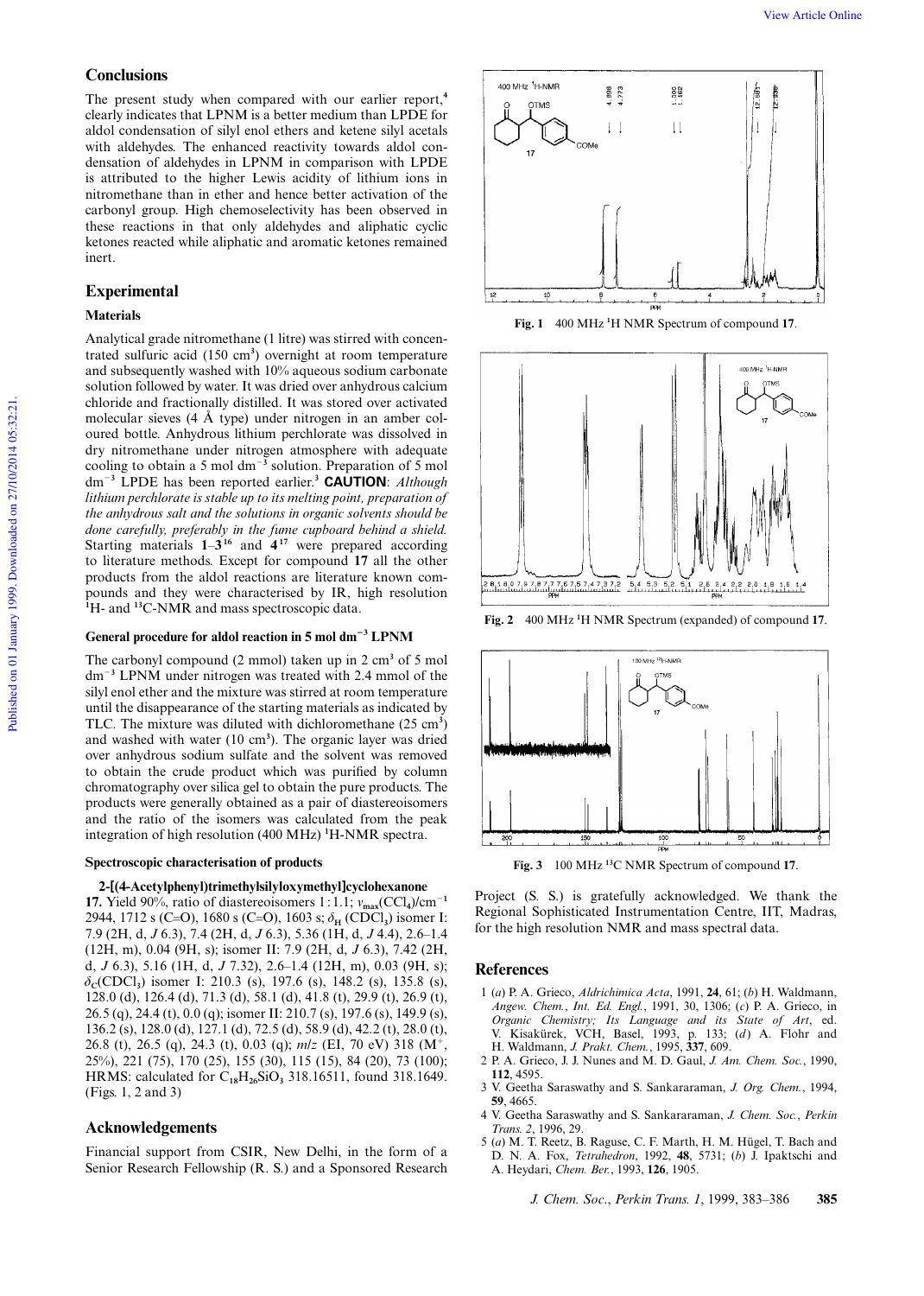# **Conclusions**

The present study when compared with our earlier report,**<sup>4</sup>** clearly indicates that LPNM is a better medium than LPDE for aldol condensation of silyl enol ethers and ketene silyl acetals with aldehydes. The enhanced reactivity towards aldol condensation of aldehydes in LPNM in comparison with LPDE is attributed to the higher Lewis acidity of lithium ions in nitromethane than in ether and hence better activation of the carbonyl group. High chemoselectivity has been observed in these reactions in that only aldehydes and aliphatic cyclic ketones reacted while aliphatic and aromatic ketones remained inert.

# **Experimental**

# **Materials**

Analytical grade nitromethane (1 litre) was stirred with concentrated sulfuric acid (150 cm**<sup>3</sup>** ) overnight at room temperature and subsequently washed with 10% aqueous sodium carbonate solution followed by water. It was dried over anhydrous calcium chloride and fractionally distilled. It was stored over activated molecular sieves (4 Å type) under nitrogen in an amber coloured bottle. Anhydrous lithium perchlorate was dissolved in dry nitromethane under nitrogen atmosphere with adequate cooling to obtain a 5 mol  $dm^{-3}$  solution. Preparation of 5 mol dm<sup>2</sup>**<sup>3</sup>** LPDE has been reported earlier.**<sup>3</sup> CAUTION**: *Although lithium perchlorate is stable up to its melting point, preparation of the anhydrous salt and the solutions in organic solvents should be done carefully, preferably in the fume cupboard behind a shield.* Starting materials  $1-3^{16}$  and  $4^{17}$  were prepared according to literature methods. Except for compound **17** all the other products from the aldol reactions are literature known compounds and they were characterised by IR, high resolution **<sup>1</sup>**H- and **<sup>13</sup>**C-NMR and mass spectroscopic data.

# General procedure for aldol reaction in 5 mol dm<sup>-3</sup> LPNM

The carbonyl compound (2 mmol) taken up in 2 cm**<sup>3</sup>** of 5 mol dm<sup>2</sup>**<sup>3</sup>** LPNM under nitrogen was treated with 2.4 mmol of the silyl enol ether and the mixture was stirred at room temperature until the disappearance of the starting materials as indicated by TLC. The mixture was diluted with dichloromethane  $(25 \text{ cm}^3)$ and washed with water (10 cm**<sup>3</sup>** ). The organic layer was dried over anhydrous sodium sulfate and the solvent was removed to obtain the crude product which was puri ed by column chromatography over silica gel to obtain the pure products. The products were generally obtained as a pair of diastereoisomers and the ratio of the isomers was calculated from the peak integration of high resolution (400 MHz) **<sup>1</sup>**H-NMR spectra.

#### **Spectroscopic characterisation of products**

#### **2-[(4-Acetylphenyl)trimethylsilyloxymethyl]cyclohexanone**

**17.** Yield 90%, ratio of diastereoisomers 1:1.1;  $v_{\text{max}}(CCl_4)/cm^{-1}$ 2944, 1712 s (C=O), 1680 s (C=O), 1603 s;  $\delta_{\rm H}$  (CDCl<sub>3</sub>) isomer I: 7.9 (2H, d, *J* 6.3), 7.4 (2H, d, *J* 6.3), 5.36 (1H, d, *J* 4.4), 2.6–1.4 (12H, m), 0.04 (9H, s); isomer II: 7.9 (2H, d, *J* 6.3), 7.42 (2H, d, *J* 6.3), 5.16 (1H, d, *J* 7.32), 2.6–1.4 (12H, m), 0.03 (9H, s);  $\delta_c$ (CDCl<sub>3</sub>) isomer I: 210.3 (s), 197.6 (s), 148.2 (s), 135.8 (s), 128.0 (d), 126.4 (d), 71.3 (d), 58.1 (d), 41.8 (t), 29.9 (t), 26.9 (t), 26.5 (q), 24.4 (t), 0.0 (q); isomer II: 210.7 (s), 197.6 (s), 149.9 (s), 136.2 (s), 128.0 (d), 127.1 (d), 72.5 (d), 58.9 (d), 42.2 (t), 28.0 (t), 26.8 (t), 26.5 (q), 24.3 (t), 0.03 (q); *m/z* (EI, 70 eV) 318 (M<sup>+</sup>, 25%), 221 (75), 170 (25), 155 (30), 115 (15), 84 (20), 73 (100); HRMS: calculated for C**18**H**26**SiO**<sup>3</sup>** 318.16511, found 318.1649. (Figs. 1, 2 and 3)

#### **Acknowledgements**

Financial support from CSIR, New Delhi, in the form of a Senior Research Fellowship (R. S.) and a Sponsored Research



**Fig. 1** 400 MHz **<sup>1</sup>**H NMR Spectrum of compound **17**.



**Fig. 2** 400 MHz **<sup>1</sup>**H NMR Spectrum (expanded) of compound **17**.



**Fig. 3** 100 MHz **<sup>13</sup>**C NMR Spectrum of compound **17**.

Project (S. S.) is gratefully acknowledged. We thank the Regional Sophisticated Instrumentation Centre, IIT, Madras, for the high resolution NMR and mass spectral data.

# **References**

- 1 (*a*) P. A. Grieco, *Aldrichimica Acta*, 1991, **24**, 61; (*b*) H. Waldmann, *Angew. Chem.*, *Int. Ed. Engl.*, 1991, 30, 1306; (*c*) P. A. Grieco, in *Organic Chemistry; Its Language and its State of Art*, ed. V. Kisakürek, VCH, Basel, 1993, p. 133; (*d*) A. Flohr and H. Waldmann, *J. Prakt. Chem.*, 1995, **337**, 609.
- 2 P. A. Grieco, J. J. Nunes and M. D. Gaul, *J. Am. Chem. Soc.*, 1990, **112**, 4595.
- 3 V. Geetha Saraswathy and S. Sankararaman, *J. Org. Chem.*, 1994, **59**, 4665.
- 4 V. Geetha Saraswathy and S. Sankararaman, *J. Chem. Soc.*, *Perkin Trans. 2*, 1996, 29.
- 5 (*a*) M. T. Reetz, B. Raguse, C. F. Marth, H. M. Hügel, T. Bach and D. N. A. Fox, *Tetrahedron*, 1992, **48**, 5731; (*b*) J. Ipaktschi and A. Heydari, *Chem. Ber.*, 1993, **126**, 1905.